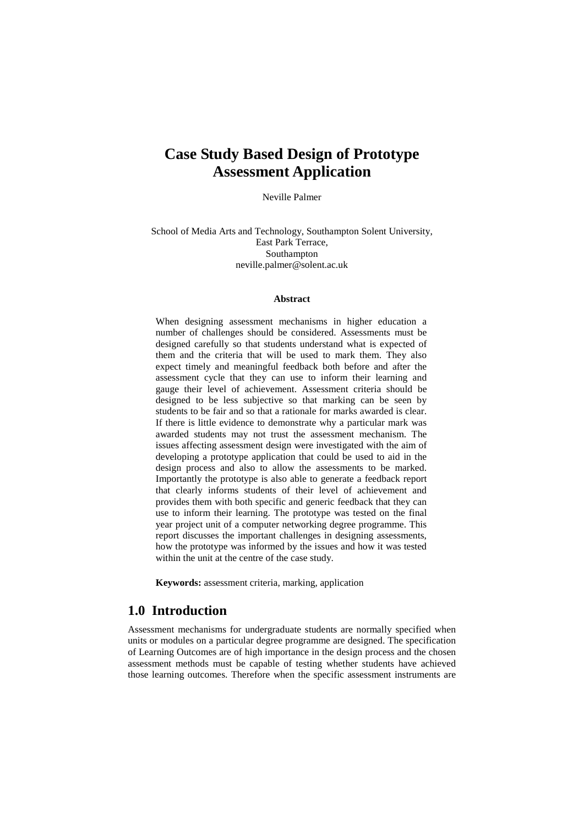# **Case Study Based Design of Prototype Assessment Application**

Neville Palmer

School of Media Arts and Technology, Southampton Solent University, East Park Terrace, Southampton neville.palmer@solent.ac.uk

#### **Abstract**

When designing assessment mechanisms in higher education a number of challenges should be considered. Assessments must be designed carefully so that students understand what is expected of them and the criteria that will be used to mark them. They also expect timely and meaningful feedback both before and after the assessment cycle that they can use to inform their learning and gauge their level of achievement. Assessment criteria should be designed to be less subjective so that marking can be seen by students to be fair and so that a rationale for marks awarded is clear. If there is little evidence to demonstrate why a particular mark was awarded students may not trust the assessment mechanism. The issues affecting assessment design were investigated with the aim of developing a prototype application that could be used to aid in the design process and also to allow the assessments to be marked. Importantly the prototype is also able to generate a feedback report that clearly informs students of their level of achievement and provides them with both specific and generic feedback that they can use to inform their learning. The prototype was tested on the final year project unit of a computer networking degree programme. This report discusses the important challenges in designing assessments, how the prototype was informed by the issues and how it was tested within the unit at the centre of the case study.

**Keywords:** assessment criteria, marking, application

# **1.0 Introduction**

Assessment mechanisms for undergraduate students are normally specified when units or modules on a particular degree programme are designed. The specification of Learning Outcomes are of high importance in the design process and the chosen assessment methods must be capable of testing whether students have achieved those learning outcomes. Therefore when the specific assessment instruments are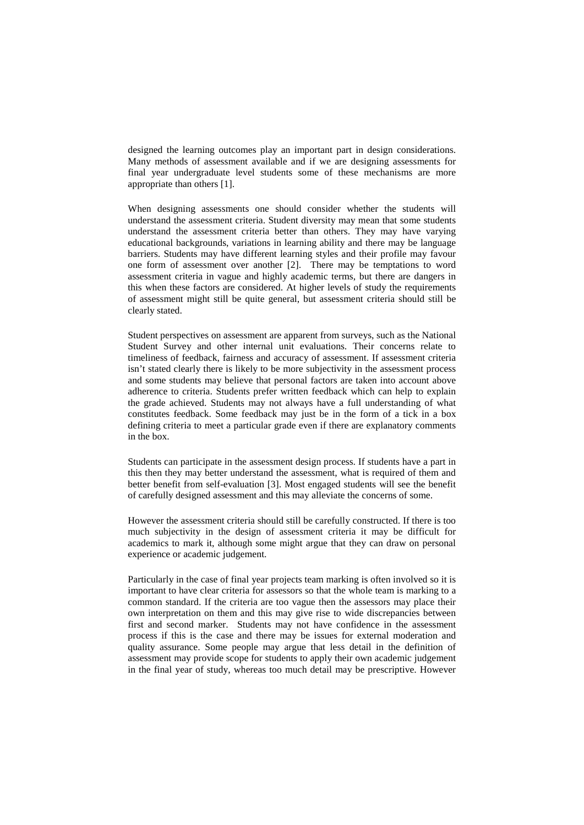designed the learning outcomes play an important part in design considerations. Many methods of assessment available and if we are designing assessments for final year undergraduate level students some of these mechanisms are more appropriate than others [1].

When designing assessments one should consider whether the students will understand the assessment criteria. Student diversity may mean that some students understand the assessment criteria better than others. They may have varying educational backgrounds, variations in learning ability and there may be language barriers. Students may have different learning styles and their profile may favour one form of assessment over another [2]. There may be temptations to word assessment criteria in vague and highly academic terms, but there are dangers in this when these factors are considered. At higher levels of study the requirements of assessment might still be quite general, but assessment criteria should still be clearly stated.

Student perspectives on assessment are apparent from surveys, such as the National Student Survey and other internal unit evaluations. Their concerns relate to timeliness of feedback, fairness and accuracy of assessment. If assessment criteria isn't stated clearly there is likely to be more subjectivity in the assessment process and some students may believe that personal factors are taken into account above adherence to criteria. Students prefer written feedback which can help to explain the grade achieved. Students may not always have a full understanding of what constitutes feedback. Some feedback may just be in the form of a tick in a box defining criteria to meet a particular grade even if there are explanatory comments in the box.

Students can participate in the assessment design process. If students have a part in this then they may better understand the assessment, what is required of them and better benefit from self-evaluation [3]. Most engaged students will see the benefit of carefully designed assessment and this may alleviate the concerns of some.

However the assessment criteria should still be carefully constructed. If there is too much subjectivity in the design of assessment criteria it may be difficult for academics to mark it, although some might argue that they can draw on personal experience or academic judgement.

Particularly in the case of final year projects team marking is often involved so it is important to have clear criteria for assessors so that the whole team is marking to a common standard. If the criteria are too vague then the assessors may place their own interpretation on them and this may give rise to wide discrepancies between first and second marker. Students may not have confidence in the assessment process if this is the case and there may be issues for external moderation and quality assurance. Some people may argue that less detail in the definition of assessment may provide scope for students to apply their own academic judgement in the final year of study, whereas too much detail may be prescriptive. However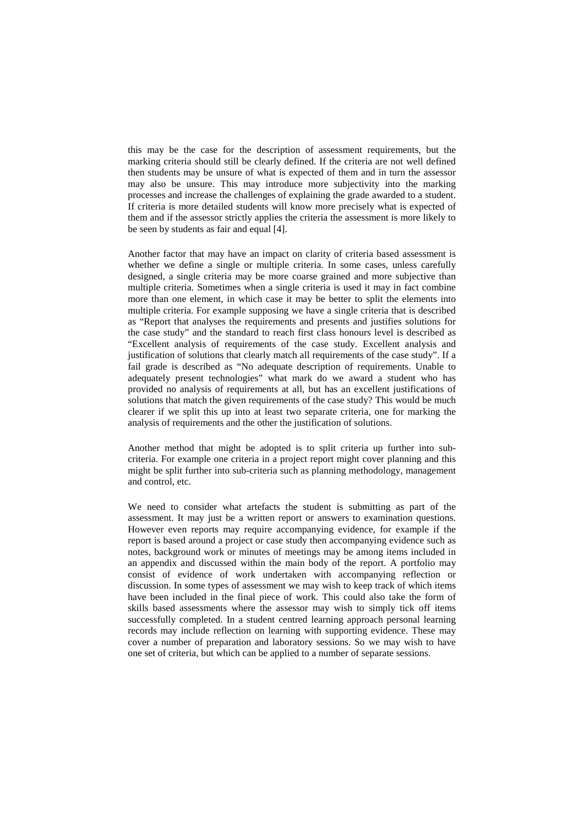this may be the case for the description of assessment requirements, but the marking criteria should still be clearly defined. If the criteria are not well defined then students may be unsure of what is expected of them and in turn the assessor may also be unsure. This may introduce more subjectivity into the marking processes and increase the challenges of explaining the grade awarded to a student. If criteria is more detailed students will know more precisely what is expected of them and if the assessor strictly applies the criteria the assessment is more likely to be seen by students as fair and equal [4].

Another factor that may have an impact on clarity of criteria based assessment is whether we define a single or multiple criteria. In some cases, unless carefully designed, a single criteria may be more coarse grained and more subjective than multiple criteria. Sometimes when a single criteria is used it may in fact combine more than one element, in which case it may be better to split the elements into multiple criteria. For example supposing we have a single criteria that is described as "Report that analyses the requirements and presents and justifies solutions for the case study" and the standard to reach first class honours level is described as "Excellent analysis of requirements of the case study. Excellent analysis and justification of solutions that clearly match all requirements of the case study". If a fail grade is described as "No adequate description of requirements. Unable to adequately present technologies" what mark do we award a student who has provided no analysis of requirements at all, but has an excellent justifications of solutions that match the given requirements of the case study? This would be much clearer if we split this up into at least two separate criteria, one for marking the analysis of requirements and the other the justification of solutions.

Another method that might be adopted is to split criteria up further into subcriteria. For example one criteria in a project report might cover planning and this might be split further into sub-criteria such as planning methodology, management and control, etc.

We need to consider what artefacts the student is submitting as part of the assessment. It may just be a written report or answers to examination questions. However even reports may require accompanying evidence, for example if the report is based around a project or case study then accompanying evidence such as notes, background work or minutes of meetings may be among items included in an appendix and discussed within the main body of the report. A portfolio may consist of evidence of work undertaken with accompanying reflection or discussion. In some types of assessment we may wish to keep track of which items have been included in the final piece of work. This could also take the form of skills based assessments where the assessor may wish to simply tick off items successfully completed. In a student centred learning approach personal learning records may include reflection on learning with supporting evidence. These may cover a number of preparation and laboratory sessions. So we may wish to have one set of criteria, but which can be applied to a number of separate sessions.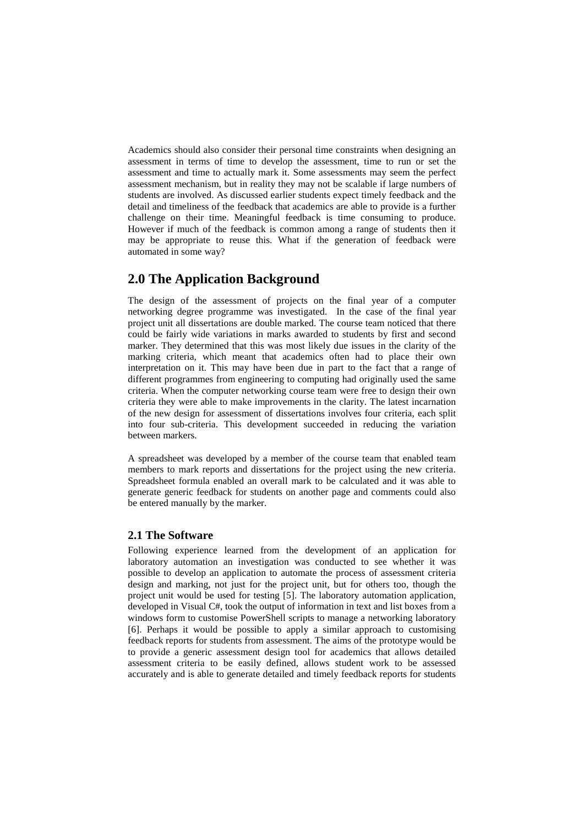Academics should also consider their personal time constraints when designing an assessment in terms of time to develop the assessment, time to run or set the assessment and time to actually mark it. Some assessments may seem the perfect assessment mechanism, but in reality they may not be scalable if large numbers of students are involved. As discussed earlier students expect timely feedback and the detail and timeliness of the feedback that academics are able to provide is a further challenge on their time. Meaningful feedback is time consuming to produce. However if much of the feedback is common among a range of students then it may be appropriate to reuse this. What if the generation of feedback were automated in some way?

# **2.0 The Application Background**

The design of the assessment of projects on the final year of a computer networking degree programme was investigated. In the case of the final year project unit all dissertations are double marked. The course team noticed that there could be fairly wide variations in marks awarded to students by first and second marker. They determined that this was most likely due issues in the clarity of the marking criteria, which meant that academics often had to place their own interpretation on it. This may have been due in part to the fact that a range of different programmes from engineering to computing had originally used the same criteria. When the computer networking course team were free to design their own criteria they were able to make improvements in the clarity. The latest incarnation of the new design for assessment of dissertations involves four criteria, each split into four sub-criteria. This development succeeded in reducing the variation between markers.

A spreadsheet was developed by a member of the course team that enabled team members to mark reports and dissertations for the project using the new criteria. Spreadsheet formula enabled an overall mark to be calculated and it was able to generate generic feedback for students on another page and comments could also be entered manually by the marker.

### **2.1 The Software**

Following experience learned from the development of an application for laboratory automation an investigation was conducted to see whether it was possible to develop an application to automate the process of assessment criteria design and marking, not just for the project unit, but for others too, though the project unit would be used for testing [5]. The laboratory automation application, developed in Visual C#, took the output of information in text and list boxes from a windows form to customise PowerShell scripts to manage a networking laboratory [6]. Perhaps it would be possible to apply a similar approach to customising feedback reports for students from assessment. The aims of the prototype would be to provide a generic assessment design tool for academics that allows detailed assessment criteria to be easily defined, allows student work to be assessed accurately and is able to generate detailed and timely feedback reports for students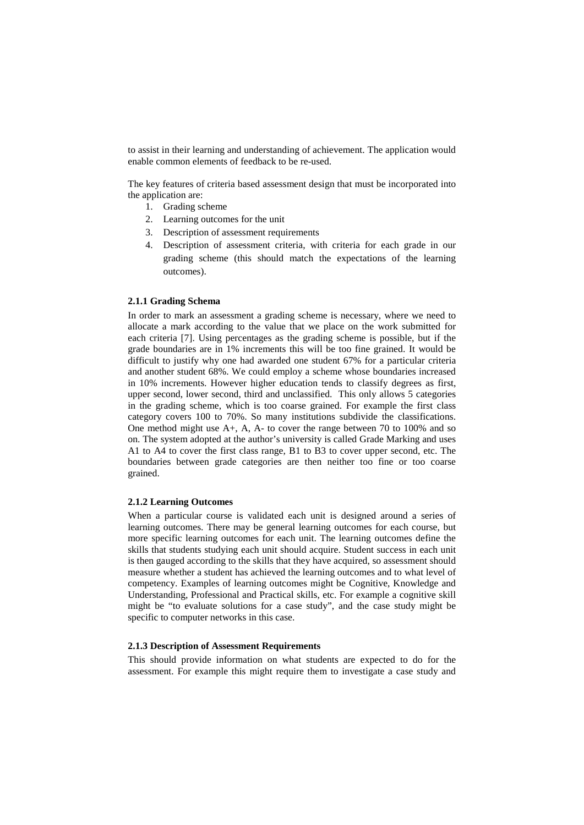to assist in their learning and understanding of achievement. The application would enable common elements of feedback to be re-used.

The key features of criteria based assessment design that must be incorporated into the application are:

- 1. Grading scheme
- 2. Learning outcomes for the unit
- 3. Description of assessment requirements
- 4. Description of assessment criteria, with criteria for each grade in our grading scheme (this should match the expectations of the learning outcomes).

#### **2.1.1 Grading Schema**

In order to mark an assessment a grading scheme is necessary, where we need to allocate a mark according to the value that we place on the work submitted for each criteria [7]. Using percentages as the grading scheme is possible, but if the grade boundaries are in 1% increments this will be too fine grained. It would be difficult to justify why one had awarded one student 67% for a particular criteria and another student 68%. We could employ a scheme whose boundaries increased in 10% increments. However higher education tends to classify degrees as first, upper second, lower second, third and unclassified. This only allows 5 categories in the grading scheme, which is too coarse grained. For example the first class category covers 100 to 70%. So many institutions subdivide the classifications. One method might use A+, A, A- to cover the range between 70 to 100% and so on. The system adopted at the author's university is called Grade Marking and uses A1 to A4 to cover the first class range, B1 to B3 to cover upper second, etc. The boundaries between grade categories are then neither too fine or too coarse grained.

#### **2.1.2 Learning Outcomes**

When a particular course is validated each unit is designed around a series of learning outcomes. There may be general learning outcomes for each course, but more specific learning outcomes for each unit. The learning outcomes define the skills that students studying each unit should acquire. Student success in each unit is then gauged according to the skills that they have acquired, so assessment should measure whether a student has achieved the learning outcomes and to what level of competency. Examples of learning outcomes might be Cognitive, Knowledge and Understanding, Professional and Practical skills, etc. For example a cognitive skill might be "to evaluate solutions for a case study", and the case study might be specific to computer networks in this case.

#### **2.1.3 Description of Assessment Requirements**

This should provide information on what students are expected to do for the assessment. For example this might require them to investigate a case study and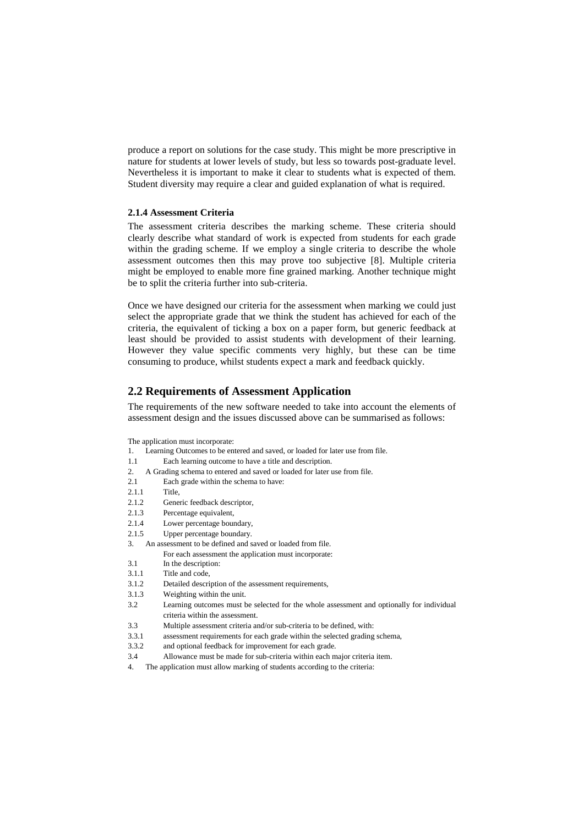produce a report on solutions for the case study. This might be more prescriptive in nature for students at lower levels of study, but less so towards post-graduate level. Nevertheless it is important to make it clear to students what is expected of them. Student diversity may require a clear and guided explanation of what is required.

### **2.1.4 Assessment Criteria**

The assessment criteria describes the marking scheme. These criteria should clearly describe what standard of work is expected from students for each grade within the grading scheme. If we employ a single criteria to describe the whole assessment outcomes then this may prove too subjective [8]. Multiple criteria might be employed to enable more fine grained marking. Another technique might be to split the criteria further into sub-criteria.

Once we have designed our criteria for the assessment when marking we could just select the appropriate grade that we think the student has achieved for each of the criteria, the equivalent of ticking a box on a paper form, but generic feedback at least should be provided to assist students with development of their learning. However they value specific comments very highly, but these can be time consuming to produce, whilst students expect a mark and feedback quickly.

### **2.2 Requirements of Assessment Application**

The requirements of the new software needed to take into account the elements of assessment design and the issues discussed above can be summarised as follows:

The application must incorporate:

- 1. Learning Outcomes to be entered and saved, or loaded for later use from file.
- 1.1 Each learning outcome to have a title and description.
- 2. A Grading schema to entered and saved or loaded for later use from file.
- 2.1 Each grade within the schema to have:
- 2.1.1 Title,
- 2.1.2 Generic feedback descriptor,
- 2.1.3 Percentage equivalent,
- 2.1.4 Lower percentage boundary,
- 2.1.5 Upper percentage boundary.
- 3. An assessment to be defined and saved or loaded from file. For each assessment the application must incorporate:
- 3.1 In the description:
- 3.1.1 Title and code,
- 3.1.2 Detailed description of the assessment requirements,
- 3.1.3 Weighting within the unit.
- 3.2 Learning outcomes must be selected for the whole assessment and optionally for individual criteria within the assessment.
- 3.3 Multiple assessment criteria and/or sub-criteria to be defined, with:
- 3.3.1 assessment requirements for each grade within the selected grading schema,
- 3.3.2 and optional feedback for improvement for each grade.
- 3.4 Allowance must be made for sub-criteria within each major criteria item.
- 4. The application must allow marking of students according to the criteria: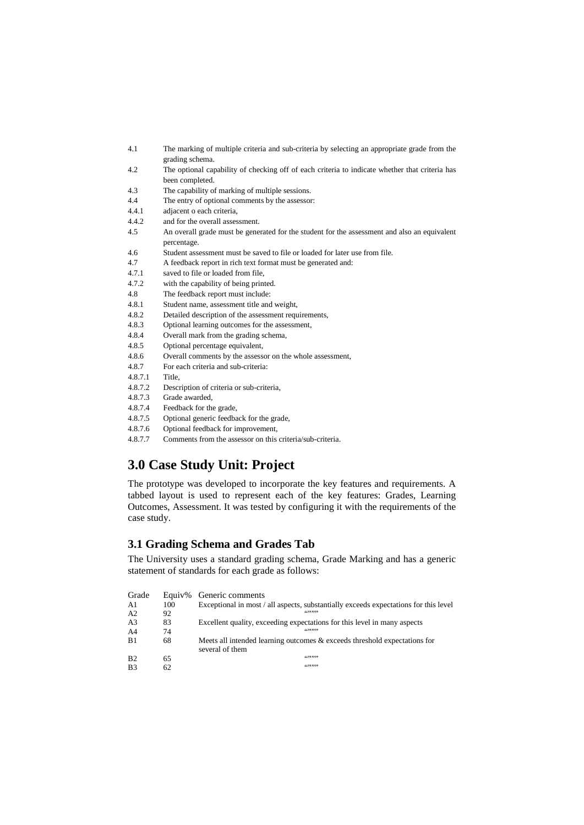| 4.1           | The marking of multiple criteria and sub-criteria by selecting an appropriate grade from the<br>grading schema. |
|---------------|-----------------------------------------------------------------------------------------------------------------|
| 4.2           | The optional capability of checking off of each criteria to indicate whether that criteria has                  |
|               | been completed.                                                                                                 |
| 4.3           | The capability of marking of multiple sessions.                                                                 |
| 4.4           | The entry of optional comments by the assessor:                                                                 |
| 4.4.1         | adjacent o each criteria,                                                                                       |
| 4.4.2         | and for the overall assessment.                                                                                 |
| 4.5           | An overall grade must be generated for the student for the assessment and also an equivalent<br>percentage.     |
| 4.6           | Student assessment must be saved to file or loaded for later use from file.                                     |
| 4.7           | A feedback report in rich text format must be generated and:                                                    |
| 4.7.1         | saved to file or loaded from file,                                                                              |
| 4.7.2         | with the capability of being printed.                                                                           |
| 4.8           | The feedback report must include:                                                                               |
| 4.8.1         | Student name, assessment title and weight,                                                                      |
| 4.8.2         | Detailed description of the assessment requirements,                                                            |
| 4.8.3         | Optional learning outcomes for the assessment,                                                                  |
| 4.8.4         | Overall mark from the grading schema,                                                                           |
| 4.8.5         | Optional percentage equivalent,                                                                                 |
| 4.8.6         | Overall comments by the assessor on the whole assessment,                                                       |
| 4.8.7         | For each criteria and sub-criteria:                                                                             |
| 4.8.7.1       | Title,                                                                                                          |
| 4.8.7.2       | Description of criteria or sub-criteria,                                                                        |
| 4.8.7.3       | Grade awarded,                                                                                                  |
| 4.8.7.4       | Feedback for the grade,                                                                                         |
| 4.8.7.5       | Optional generic feedback for the grade,                                                                        |
| $A$ Q $7$ $6$ | Optional foodback for improvement                                                                               |

- 4.8.7.6 Optional feedback for improvement,
- 4.8.7.7 Comments from the assessor on this criteria/sub-criteria.

# **3.0 Case Study Unit: Project**

The prototype was developed to incorporate the key features and requirements. A tabbed layout is used to represent each of the key features: Grades, Learning Outcomes, Assessment. It was tested by configuring it with the requirements of the case study.

### **3.1 Grading Schema and Grades Tab**

The University uses a standard grading schema, Grade Marking and has a generic statement of standards for each grade as follows:

| Grade          | Equiv% | Generic comments                                                                     |
|----------------|--------|--------------------------------------------------------------------------------------|
| A1             | 100    | Exceptional in most / all aspects, substantially exceeds expectations for this level |
| A <sub>2</sub> | 92     |                                                                                      |
| A <sub>3</sub> | 83     | Excellent quality, exceeding expectations for this level in many aspects             |
| A <sub>4</sub> | 74     | 66999999                                                                             |
| B1             | 68     | Meets all intended learning outcomes & exceeds threshold expectations for            |
|                |        | several of them                                                                      |
| B <sub>2</sub> | 65     | 65999999                                                                             |
| B <sub>3</sub> | 62     | 66999999                                                                             |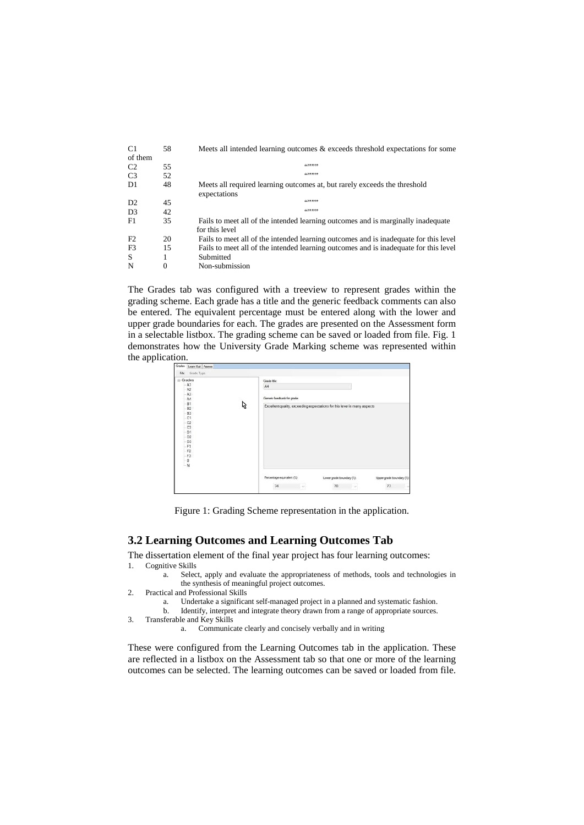| C <sub>1</sub> | 58 | Meets all intended learning outcomes & exceeds threshold expectations for some       |  |  |
|----------------|----|--------------------------------------------------------------------------------------|--|--|
| of them        |    |                                                                                      |  |  |
| C <sub>2</sub> | 55 | 65999999                                                                             |  |  |
| C <sub>3</sub> | 52 | 65999999                                                                             |  |  |
| D1             | 48 | Meets all required learning outcomes at, but rarely exceeds the threshold            |  |  |
|                |    | expectations                                                                         |  |  |
| D2             | 45 | 65999999                                                                             |  |  |
| D <sub>3</sub> | 42 | 65999999                                                                             |  |  |
| F1             | 35 | Fails to meet all of the intended learning outcomes and is marginally inadequate     |  |  |
|                |    | for this level                                                                       |  |  |
| F2             | 20 | Fails to meet all of the intended learning outcomes and is inadequate for this level |  |  |
| F <sub>3</sub> | 15 | Fails to meet all of the intended learning outcomes and is inadequate for this level |  |  |
| S              |    | Submitted                                                                            |  |  |
| N              | 0  | Non-submission                                                                       |  |  |

The Grades tab was configured with a treeview to represent grades within the grading scheme. Each grade has a title and the generic feedback comments can also be entered. The equivalent percentage must be entered along with the lower and upper grade boundaries for each. The grades are presented on the Assessment form in a selectable listbox. The grading scheme can be saved or loaded from file. Fig. 1 demonstrates how the University Grade Marking scheme was represented within the application.

| Grades Learn Out   Assess |   |                                                                          |                           |                           |  |
|---------------------------|---|--------------------------------------------------------------------------|---------------------------|---------------------------|--|
| Grade Type<br>File        |   |                                                                          |                           |                           |  |
| <b>E</b> -Grades          |   | Grade title:                                                             |                           |                           |  |
| A1                        |   | A4                                                                       |                           |                           |  |
| A2                        |   |                                                                          |                           |                           |  |
| A3                        |   | Generic feedback for grade:                                              |                           |                           |  |
| A4<br>B1                  |   |                                                                          |                           |                           |  |
| <b>B2</b>                 | ピ | Excellent quality, exceeding expectations for this level in many aspects |                           |                           |  |
| <b>B3</b>                 |   |                                                                          |                           |                           |  |
| C1                        |   |                                                                          |                           |                           |  |
| C2                        |   |                                                                          |                           |                           |  |
| C <sub>3</sub>            |   |                                                                          |                           |                           |  |
| D1                        |   |                                                                          |                           |                           |  |
| D <sub>2</sub>            |   |                                                                          |                           |                           |  |
| D3                        |   |                                                                          |                           |                           |  |
| F1                        |   |                                                                          |                           |                           |  |
| F <sub>2</sub>            |   |                                                                          |                           |                           |  |
| F3                        |   |                                                                          |                           |                           |  |
| $\frac{1}{N}$             |   |                                                                          |                           |                           |  |
|                           |   |                                                                          |                           |                           |  |
|                           |   | Percentage equivalent (%)                                                | Lower grade boundary (%): | Upper grade boundary (%): |  |
|                           |   | 74<br>$\sim$ $\sim$ $\sim$                                               | $70$ $\vee$               | 77<br>$\omega$            |  |
|                           |   |                                                                          |                           |                           |  |

Figure 1: Grading Scheme representation in the application.

### **3.2 Learning Outcomes and Learning Outcomes Tab**

The dissertation element of the final year project has four learning outcomes:<br>1. Coenitive Skills **Cognitive Skills** 

- a. Select, apply and evaluate the appropriateness of methods, tools and technologies in the synthesis of meaningful project outcomes.
- 2. Practical and Professional Skills
	- a. Undertake a significant self-managed project in a planned and systematic fashion.
	- Identify, interpret and integrate theory drawn from a range of appropriate sources.
- 3. Transferable and Key Skills
	- a. Communicate clearly and concisely verbally and in writing

These were configured from the Learning Outcomes tab in the application. These are reflected in a listbox on the Assessment tab so that one or more of the learning outcomes can be selected. The learning outcomes can be saved or loaded from file.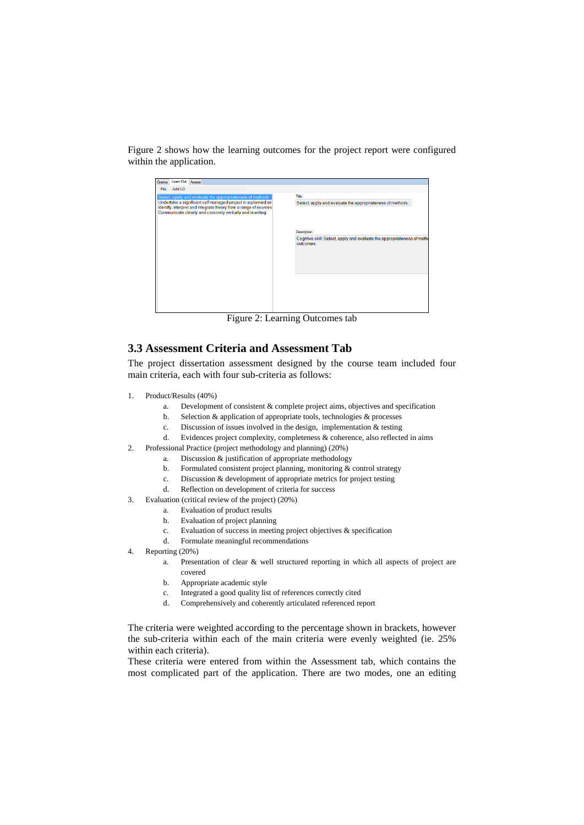Figure 2 shows how the learning outcomes for the project report were configured within the application.

| Learn Out Assess<br>Grades                                                                                                                                                                    |                                                                                     |
|-----------------------------------------------------------------------------------------------------------------------------------------------------------------------------------------------|-------------------------------------------------------------------------------------|
| Add LO<br>File                                                                                                                                                                                |                                                                                     |
| Select, apply and evaluate the appropriateness of methods                                                                                                                                     | Title:                                                                              |
| Undertake a significant self managed project in a planned an<br>Identify, interpret and integrate theory from a range of sources<br>Communicate clearly and concisely verbally and in writing | Select, apply and evaluate the appropriateness of methods                           |
|                                                                                                                                                                                               | Description:                                                                        |
|                                                                                                                                                                                               | Cogntive skill: Select, apply and evaluate the appropriateness of meth<br>outcomes. |
|                                                                                                                                                                                               |                                                                                     |

Figure 2: Learning Outcomes tab

## **3.3 Assessment Criteria and Assessment Tab**

The project dissertation assessment designed by the course team included four main criteria, each with four sub-criteria as follows:

- 1. Product/Results (40%)
	- a. Development of consistent & complete project aims, objectives and specification
	- b. Selection & application of appropriate tools, technologies & processes
	- c. Discussion of issues involved in the design, implementation & testing
	- d. Evidences project complexity, completeness & coherence, also reflected in aims
- 2. Professional Practice (project methodology and planning) (20%)
	- a. Discussion & justification of appropriate methodology
	- b. Formulated consistent project planning, monitoring & control strategy
	- c. Discussion & development of appropriate metrics for project testing
	- d. Reflection on development of criteria for success
- 3. Evaluation (critical review of the project) (20%)
	- a. Evaluation of product results
	- b. Evaluation of project planning
	- c. Evaluation of success in meeting project objectives & specification
	- d. Formulate meaningful recommendations
- 4. Reporting (20%)
	- a. Presentation of clear & well structured reporting in which all aspects of project are covered
	- b. Appropriate academic style
	- c. Integrated a good quality list of references correctly cited
	- d. Comprehensively and coherently articulated referenced report

The criteria were weighted according to the percentage shown in brackets, however the sub-criteria within each of the main criteria were evenly weighted (ie. 25% within each criteria).

These criteria were entered from within the Assessment tab, which contains the most complicated part of the application. There are two modes, one an editing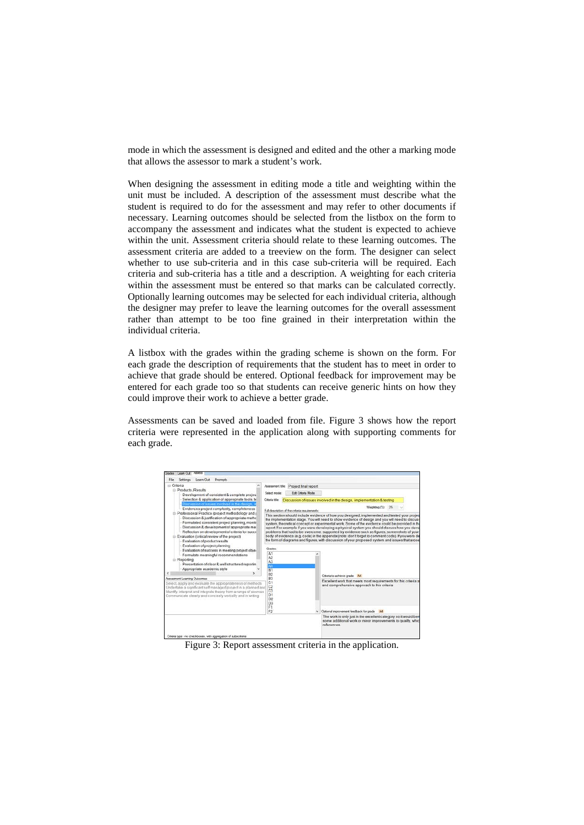mode in which the assessment is designed and edited and the other a marking mode that allows the assessor to mark a student's work.

When designing the assessment in editing mode a title and weighting within the unit must be included. A description of the assessment must describe what the student is required to do for the assessment and may refer to other documents if necessary. Learning outcomes should be selected from the listbox on the form to accompany the assessment and indicates what the student is expected to achieve within the unit. Assessment criteria should relate to these learning outcomes. The assessment criteria are added to a treeview on the form. The designer can select whether to use sub-criteria and in this case sub-criteria will be required. Each criteria and sub-criteria has a title and a description. A weighting for each criteria within the assessment must be entered so that marks can be calculated correctly. Optionally learning outcomes may be selected for each individual criteria, although the designer may prefer to leave the learning outcomes for the overall assessment rather than attempt to be too fine grained in their interpretation within the individual criteria.

A listbox with the grades within the grading scheme is shown on the form. For each grade the description of requirements that the student has to meet in order to achieve that grade should be entered. Optional feedback for improvement may be entered for each grade too so that students can receive generic hints on how they could improve their work to achieve a better grade.

Assessments can be saved and loaded from file. Figure 3 shows how the report criteria were represented in the application along with supporting comments for each grade.



Figure 3: Report assessment criteria in the application.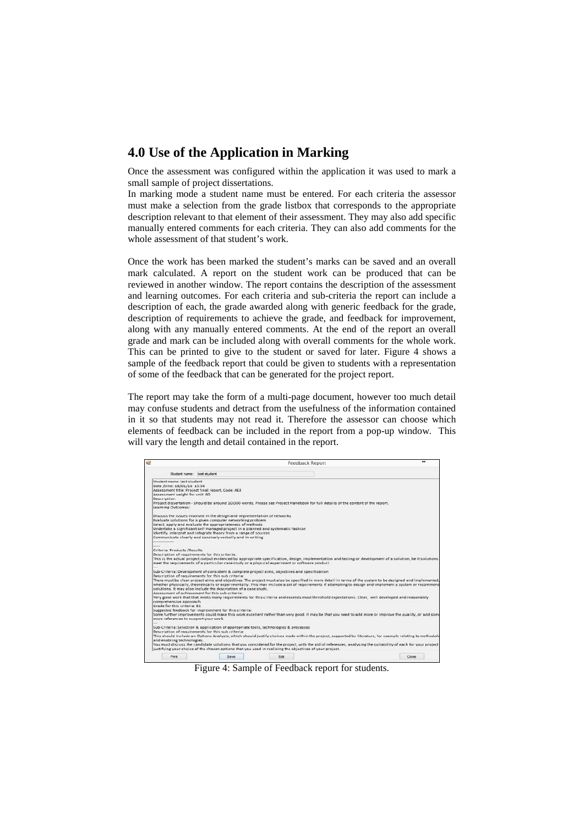# **4.0 Use of the Application in Marking**

Once the assessment was configured within the application it was used to mark a small sample of project dissertations.

In marking mode a student name must be entered. For each criteria the assessor must make a selection from the grade listbox that corresponds to the appropriate description relevant to that element of their assessment. They may also add specific manually entered comments for each criteria. They can also add comments for the whole assessment of that student's work.

Once the work has been marked the student's marks can be saved and an overall mark calculated. A report on the student work can be produced that can be reviewed in another window. The report contains the description of the assessment and learning outcomes. For each criteria and sub-criteria the report can include a description of each, the grade awarded along with generic feedback for the grade, description of requirements to achieve the grade, and feedback for improvement, along with any manually entered comments. At the end of the report an overall grade and mark can be included along with overall comments for the whole work. This can be printed to give to the student or saved for later. Figure 4 shows a sample of the feedback report that could be given to students with a representation of some of the feedback that can be generated for the project report.

The report may take the form of a multi-page document, however too much detail may confuse students and detract from the usefulness of the information contained in it so that students may not read it. Therefore the assessor can choose which elements of feedback can be included in the report from a pop-up window. This will vary the length and detail contained in the report.

|                                                |                                                                          | <b>Feedback Report</b>                                                                                                                                                                                                                                                                                               | $\bullet$ |
|------------------------------------------------|--------------------------------------------------------------------------|----------------------------------------------------------------------------------------------------------------------------------------------------------------------------------------------------------------------------------------------------------------------------------------------------------------------|-----------|
| Student name: test student                     |                                                                          |                                                                                                                                                                                                                                                                                                                      |           |
| Student name: test student                     |                                                                          |                                                                                                                                                                                                                                                                                                                      |           |
| Date /time: 18/01/16 15:56                     |                                                                          |                                                                                                                                                                                                                                                                                                                      |           |
|                                                | Assessment title: Project final report, Code: AE3                        |                                                                                                                                                                                                                                                                                                                      |           |
| Assessment weight for unit: 60                 |                                                                          |                                                                                                                                                                                                                                                                                                                      |           |
| Description:                                   |                                                                          |                                                                                                                                                                                                                                                                                                                      |           |
| Learning Outcomes:                             |                                                                          | Project dissertation - should be around 10,000 words. Please see Project Handbook for full details of the content of the report.                                                                                                                                                                                     |           |
|                                                | Discuss the issues involved in the design and implementation of networks |                                                                                                                                                                                                                                                                                                                      |           |
|                                                | Evaluate solutions for a given computer networking problem               |                                                                                                                                                                                                                                                                                                                      |           |
|                                                | Select, apply and evaluate the appropriateness of methods.               |                                                                                                                                                                                                                                                                                                                      |           |
|                                                |                                                                          | Undertake a significant self managed project in a planned and systematic fashion                                                                                                                                                                                                                                     |           |
|                                                | Identify, interpret and integrate theory from a range of sources.        |                                                                                                                                                                                                                                                                                                                      |           |
|                                                | Communicate clearly and concisely verbally and in writing                |                                                                                                                                                                                                                                                                                                                      |           |
|                                                |                                                                          |                                                                                                                                                                                                                                                                                                                      |           |
|                                                |                                                                          |                                                                                                                                                                                                                                                                                                                      |           |
| Criteria: Products /Results                    |                                                                          |                                                                                                                                                                                                                                                                                                                      |           |
| Description of requirements for this criteria: |                                                                          |                                                                                                                                                                                                                                                                                                                      |           |
|                                                |                                                                          | This is the actual project output evidenced by appropriate specification, design, implementation and testing or development of a solution, be it solutions<br>meet the requirements of a particular case study or a physical experiment or software product.                                                         |           |
|                                                |                                                                          |                                                                                                                                                                                                                                                                                                                      |           |
|                                                |                                                                          | Sub-Criteria: Development of consistent & complete project aims, objectives and specification                                                                                                                                                                                                                        |           |
|                                                | Description of requirements for this sub criteria:                       |                                                                                                                                                                                                                                                                                                                      |           |
|                                                | solutions. It may also include the description of a case study.          | There must be clear project aims and objectives. The project must also be specified in more detail in terms of the system to be designed and implemented.<br>whether physically, theoretically or experimentally. This may include a set of requirements if attempting to design and implement a system or recommend |           |
|                                                | Assessment of achievement for this sub criteria:                         |                                                                                                                                                                                                                                                                                                                      |           |
|                                                |                                                                          | Very good work that that meets many requirements for this criteria and exceeds most threshold expectations. Clear, well developed and reasonably                                                                                                                                                                     |           |
| comprehensive approach.                        |                                                                          |                                                                                                                                                                                                                                                                                                                      |           |
| Grade for this criteria: B1                    |                                                                          |                                                                                                                                                                                                                                                                                                                      |           |
|                                                | Suggested feedback for improvement for this criteria:                    |                                                                                                                                                                                                                                                                                                                      |           |
|                                                |                                                                          | Some further improvements could make this work excellent rather than very good. It may be that you need to add more or improve the quality, or add som-                                                                                                                                                              |           |
| more references to support your work.          |                                                                          |                                                                                                                                                                                                                                                                                                                      |           |
|                                                |                                                                          | Sub-Criteria: Selection & application of appropriate tools, technologies & processes                                                                                                                                                                                                                                 |           |
|                                                | Description of requirements for this sub criteria:                       |                                                                                                                                                                                                                                                                                                                      |           |
|                                                |                                                                          | This should include an Options Analysis, which should justify choices made within the project, supported by literature, for example relating to methodole                                                                                                                                                            |           |
| and enabling technologies.                     |                                                                          |                                                                                                                                                                                                                                                                                                                      |           |
|                                                |                                                                          | You must discuss the candidate solutions that you considered for the project, with the aid of references, analysing the suitability of each for your project<br>justifying your choice of the chosen options that you used in realising the objectives of your project.                                              |           |
| Print                                          |                                                                          | Edit                                                                                                                                                                                                                                                                                                                 |           |
|                                                | Save                                                                     |                                                                                                                                                                                                                                                                                                                      | Close     |

Figure 4: Sample of Feedback report for students.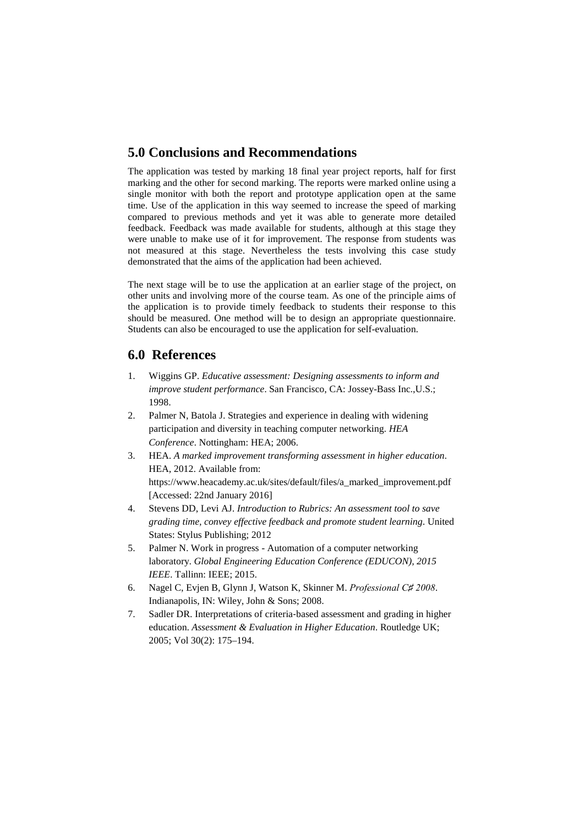# **5.0 Conclusions and Recommendations**

The application was tested by marking 18 final year project reports, half for first marking and the other for second marking. The reports were marked online using a single monitor with both the report and prototype application open at the same time. Use of the application in this way seemed to increase the speed of marking compared to previous methods and yet it was able to generate more detailed feedback. Feedback was made available for students, although at this stage they were unable to make use of it for improvement. The response from students was not measured at this stage. Nevertheless the tests involving this case study demonstrated that the aims of the application had been achieved.

The next stage will be to use the application at an earlier stage of the project, on other units and involving more of the course team. As one of the principle aims of the application is to provide timely feedback to students their response to this should be measured. One method will be to design an appropriate questionnaire. Students can also be encouraged to use the application for self-evaluation.

## **6.0 References**

- 1. Wiggins GP. *Educative assessment: Designing assessments to inform and improve student performance*. San Francisco, CA: Jossey-Bass Inc.,U.S.; 1998.
- 2. Palmer N, Batola J. Strategies and experience in dealing with widening participation and diversity in teaching computer networking. *HEA Conference*. Nottingham: HEA; 2006.
- 3. HEA. *A marked improvement transforming assessment in higher education*. HEA, 2012. Available from: https://www.heacademy.ac.uk/sites/default/files/a\_marked\_improvement.pdf [Accessed: 22nd January 2016]
- 4. Stevens DD, Levi AJ. *Introduction to Rubrics: An assessment tool to save grading time, convey effective feedback and promote student learning*. United States: Stylus Publishing; 2012
- 5. Palmer N. Work in progress Automation of a computer networking laboratory. *Global Engineering Education Conference (EDUCON), 2015 IEEE*. Tallinn: IEEE; 2015.
- 6. Nagel C, Evjen B, Glynn J, Watson K, Skinner M. *Professional C♯ 2008*. Indianapolis, IN: Wiley, John & Sons; 2008.
- 7. Sadler DR. Interpretations of criteria‐based assessment and grading in higher education. *Assessment & Evaluation in Higher Education*. Routledge UK; 2005; Vol 30(2): 175–194.